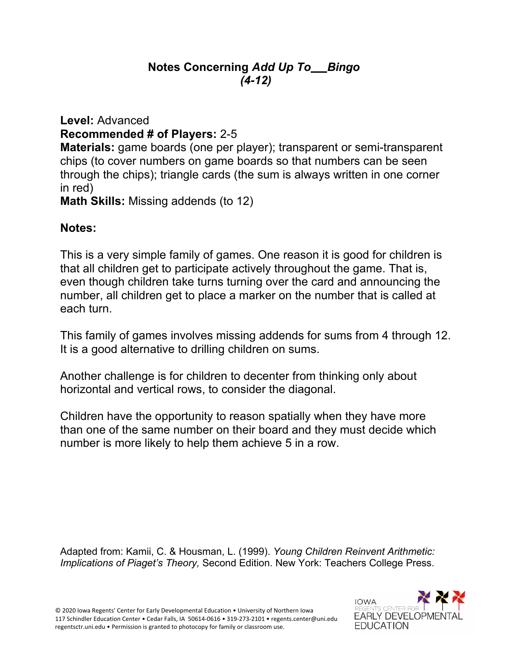## **Notes Concerning** *Add Up To Bingo (4-12)*

**Level:** Advanced **Recommended # of Players:** 2-5 **Materials:** game boards (one per player); transparent or semi-transparent

chips (to cover numbers on game boards so that numbers can be seen through the chips); triangle cards (the sum is always written in one corner in red)

**Math Skills:** Missing addends (to 12)

## **Notes:**

This is a very simple family of games. One reason it is good for children is that all children get to participate actively throughout the game. That is, even though children take turns turning over the card and announcing the number, all children get to place a marker on the number that is called at each turn.

This family of games involves missing addends for sums from 4 through 12. It is a good alternative to drilling children on sums.

Another challenge is for children to decenter from thinking only about horizontal and vertical rows, to consider the diagonal.

Children have the opportunity to reason spatially when they have more than one of the same number on their board and they must decide which number is more likely to help them achieve 5 in a row.

Adapted from: Kamii, C. & Housman, L. (1999). *Young Children Reinvent Arithmetic: Implications of Piaget's Theory,* Second Edition. New York: Teachers College Press.

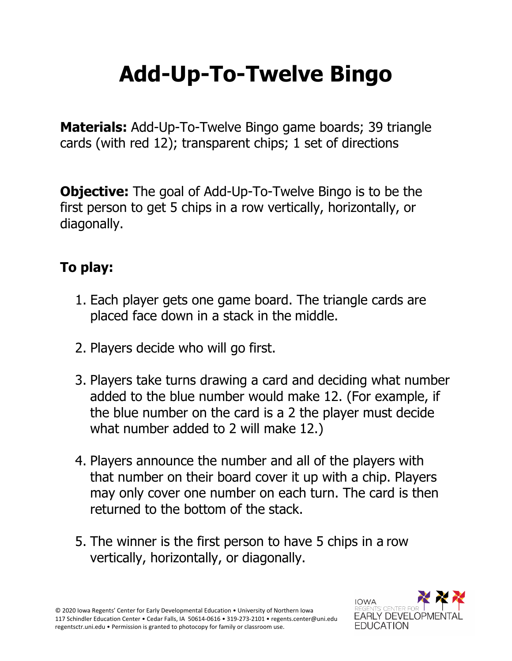## **Add-Up-To-Twelve Bingo**

**Materials:** Add-Up-To-Twelve Bingo game boards; 39 triangle cards (with red 12); transparent chips; 1 set of directions

**Objective:** The goal of Add-Up-To-Twelve Bingo is to be the first person to get 5 chips in a row vertically, horizontally, or diagonally.

## **To play:**

- 1. Each player gets one game board. The triangle cards are placed face down in a stack in the middle.
- 2. Players decide who will go first.
- 3. Players take turns drawing a card and deciding what number added to the blue number would make 12. (For example, if the blue number on the card is a 2 the player must decide what number added to 2 will make 12.)
- 4. Players announce the number and all of the players with that number on their board cover it up with a chip. Players may only cover one number on each turn. The card is then returned to the bottom of the stack.
- 5. The winner is the first person to have 5 chips in a row vertically, horizontally, or diagonally.

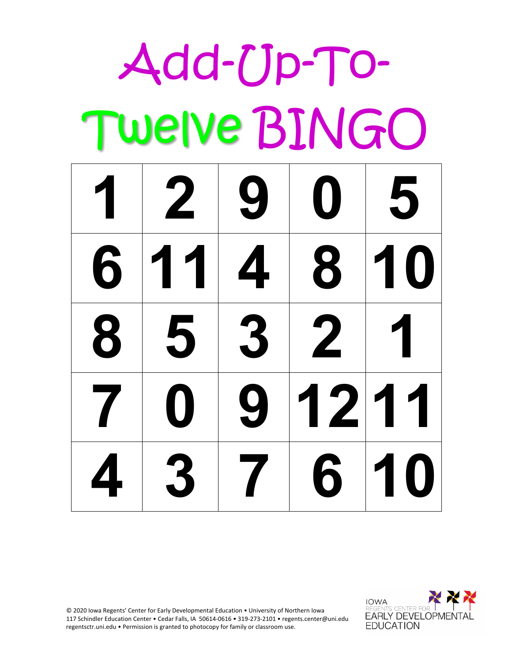| Add-Up-To-              |              |   |   |                 |  |
|-------------------------|--------------|---|---|-----------------|--|
|                         | TWEIVE BINGO |   |   |                 |  |
|                         | 12905        |   |   |                 |  |
| 6                       | 11           | 4 | 8 | 10              |  |
| 8                       | 5            | 3 | 2 | 1               |  |
| $\mathcal{T} \parallel$ |              |   |   | U   9   12   11 |  |
|                         |              |   |   | 437610          |  |

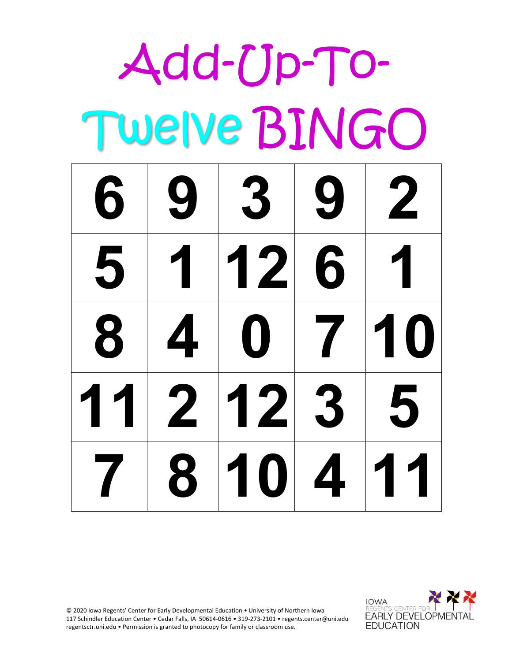| Add-Up-To-   |   |                              |                          |             |
|--------------|---|------------------------------|--------------------------|-------------|
| TWEIVE BINGO |   |                              |                          |             |
|              |   | 69392                        |                          |             |
| 5            | 1 | 126                          |                          | 1           |
| 8            | 4 | $\mathbf 0$<br>$\mathcal{L}$ | $\overline{\phantom{a}}$ | 10          |
|              |   |                              |                          | 11 2 12 3 5 |
|              |   |                              |                          | 7810411     |

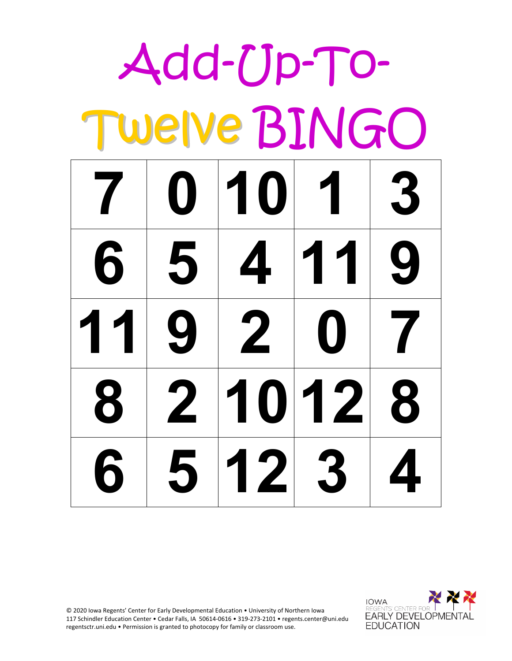| Add-Up-To-   |                 |                         |          |                  |
|--------------|-----------------|-------------------------|----------|------------------|
| TWEIVE BINGO |                 |                         |          |                  |
|              | 7 <sup>10</sup> | 1013                    |          |                  |
| 6            | 5               | $\overline{\mathbf{A}}$ | 119      |                  |
| 11           | 9               | $\mathbf{2}$            | $\bf{O}$ | $\boldsymbol{7}$ |
|              |                 | 8 2 10 12 8             |          |                  |
| $6 5 12 3 4$ |                 |                         |          |                  |

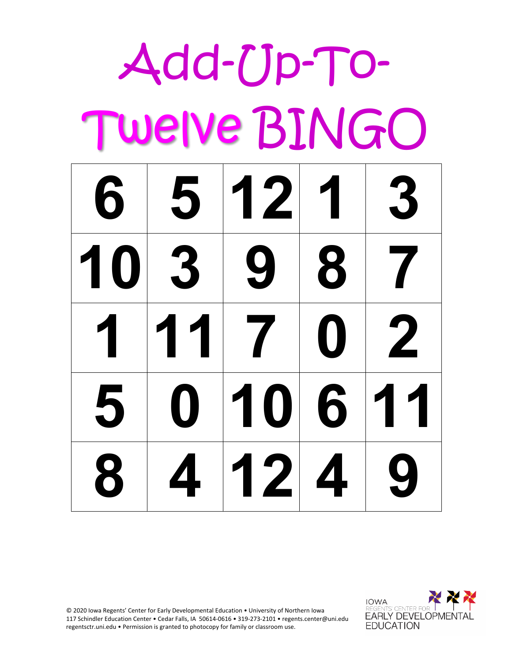| Add-Up-To-   |    |                          |          |             |
|--------------|----|--------------------------|----------|-------------|
| Twelve BINGO |    |                          |          |             |
|              |    | 6 5 12 1 3               |          |             |
| 10 3         |    | 9                        | 18       | 7           |
|              | 11 | $\overline{\phantom{a}}$ | $\bf{O}$ | $\mathbf 2$ |
|              |    | 0 10 6 11                |          |             |
|              |    | 8 4 12 4 9               |          |             |

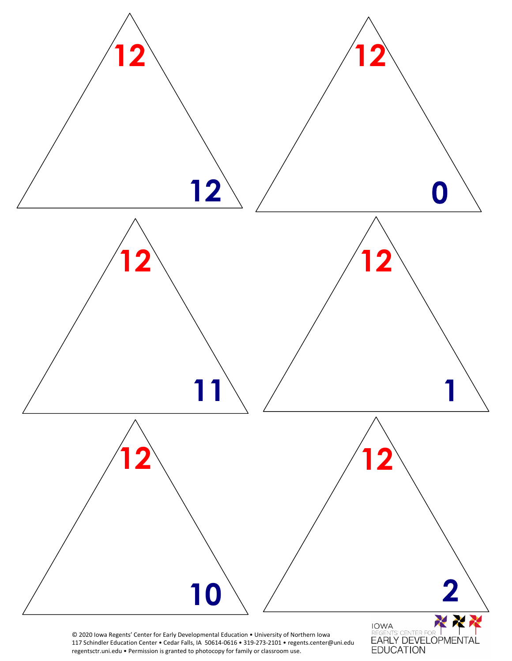

regentsctr.uni.edu • Permission is granted to photocopy for family or classroom use.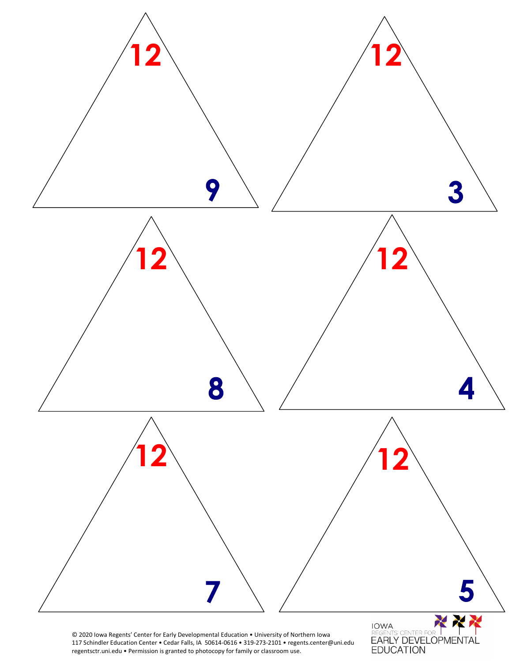

117 Schindler Education Center • Cedar Falls, IA 50614-0616 • 319-273-2101 • regents.center@uni.edu regentsctr.uni.edu • Permission is granted to photocopy for family or classroom use.